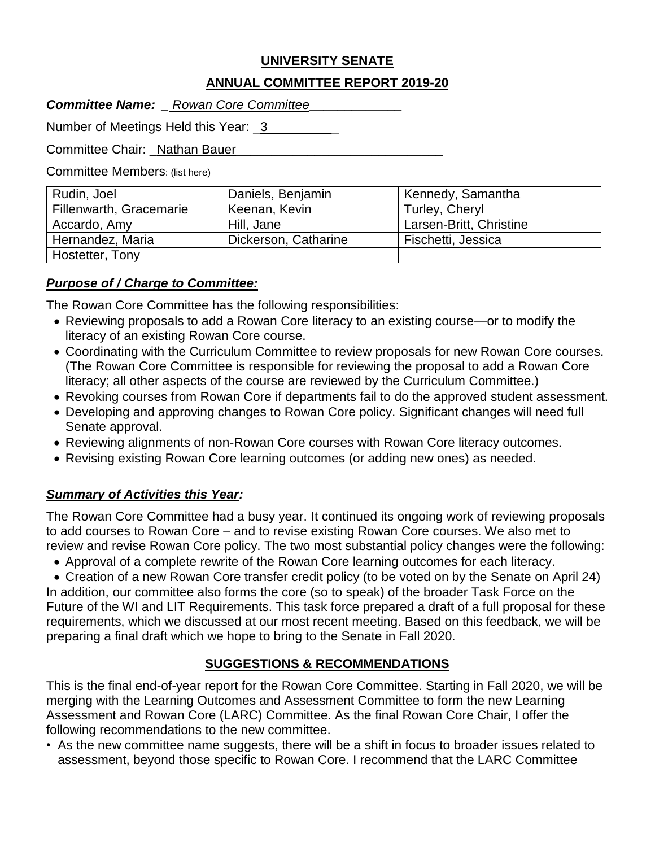# **UNIVERSITY SENATE**

### **ANNUAL COMMITTEE REPORT 2019-20**

| <b>Committee Name:</b> | <b>Rowan Core Committee</b> |  |
|------------------------|-----------------------------|--|
|------------------------|-----------------------------|--|

Number of Meetings Held this Year: 3\_\_\_\_\_\_\_\_\_\_

Committee Chair: Nathan Bauer

Committee Members: (list here)

| Rudin, Joel             | Daniels, Benjamin    | Kennedy, Samantha       |
|-------------------------|----------------------|-------------------------|
| Fillenwarth, Gracemarie | Keenan, Kevin        | Turley, Cheryl          |
| Accardo, Amy            | Hill, Jane           | Larsen-Britt, Christine |
| Hernandez, Maria        | Dickerson, Catharine | Fischetti, Jessica      |
| Hostetter, Tony         |                      |                         |

### *Purpose of / Charge to Committee:*

The Rowan Core Committee has the following responsibilities:

- Reviewing proposals to add a Rowan Core literacy to an existing course—or to modify the literacy of an existing Rowan Core course.
- Coordinating with the Curriculum Committee to review proposals for new Rowan Core courses. (The Rowan Core Committee is responsible for reviewing the proposal to add a Rowan Core literacy; all other aspects of the course are reviewed by the Curriculum Committee.)
- Revoking courses from Rowan Core if departments fail to do the approved student assessment.
- Developing and approving changes to Rowan Core policy. Significant changes will need full Senate approval.
- Reviewing alignments of non-Rowan Core courses with Rowan Core literacy outcomes.
- Revising existing Rowan Core learning outcomes (or adding new ones) as needed.

### *Summary of Activities this Year:*

The Rowan Core Committee had a busy year. It continued its ongoing work of reviewing proposals to add courses to Rowan Core – and to revise existing Rowan Core courses. We also met to review and revise Rowan Core policy. The two most substantial policy changes were the following:

Approval of a complete rewrite of the Rowan Core learning outcomes for each literacy.

 Creation of a new Rowan Core transfer credit policy (to be voted on by the Senate on April 24) In addition, our committee also forms the core (so to speak) of the broader Task Force on the Future of the WI and LIT Requirements. This task force prepared a draft of a full proposal for these requirements, which we discussed at our most recent meeting. Based on this feedback, we will be preparing a final draft which we hope to bring to the Senate in Fall 2020.

# **SUGGESTIONS & RECOMMENDATIONS**

This is the final end-of-year report for the Rowan Core Committee. Starting in Fall 2020, we will be merging with the Learning Outcomes and Assessment Committee to form the new Learning Assessment and Rowan Core (LARC) Committee. As the final Rowan Core Chair, I offer the following recommendations to the new committee.

• As the new committee name suggests, there will be a shift in focus to broader issues related to assessment, beyond those specific to Rowan Core. I recommend that the LARC Committee